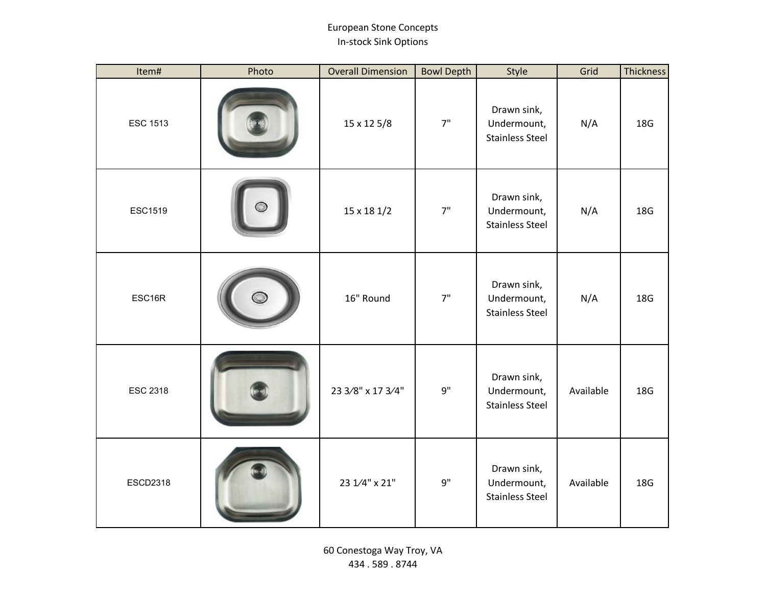## European Stone Concepts In-stock Sink Options

| Item#           | Photo | <b>Overall Dimension</b> | <b>Bowl Depth</b> | Style                                                | Grid      | Thickness |
|-----------------|-------|--------------------------|-------------------|------------------------------------------------------|-----------|-----------|
| <b>ESC 1513</b> |       | 15 x 12 5/8              | 7"                | Drawn sink,<br>Undermount,<br><b>Stainless Steel</b> | N/A       | 18G       |
| <b>ESC1519</b>  |       | 15 x 18 1/2              | 7"                | Drawn sink,<br>Undermount,<br><b>Stainless Steel</b> | N/A       | 18G       |
| ESC16R          |       | 16" Round                | 7"                | Drawn sink,<br>Undermount,<br><b>Stainless Steel</b> | N/A       | 18G       |
| <b>ESC 2318</b> |       | 23 3/8" x 17 3/4"        | 9"                | Drawn sink,<br>Undermount,<br><b>Stainless Steel</b> | Available | 18G       |
| ESCD2318        |       | 23 1/4" x 21"            | 9"                | Drawn sink,<br>Undermount,<br><b>Stainless Steel</b> | Available | 18G       |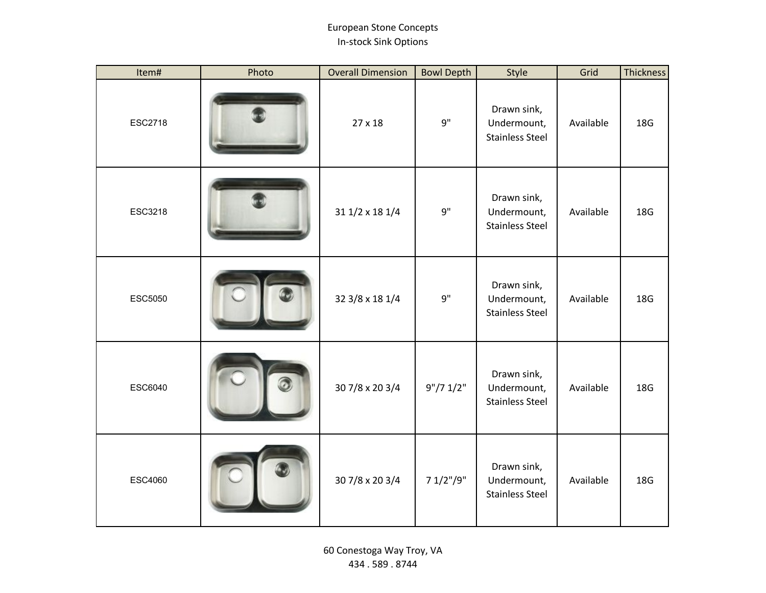## European Stone Concepts In-stock Sink Options

| Item#          | Photo | <b>Overall Dimension</b> | <b>Bowl Depth</b> | Style                                                | Grid      | Thickness |
|----------------|-------|--------------------------|-------------------|------------------------------------------------------|-----------|-----------|
| <b>ESC2718</b> |       | 27 x 18                  | 9"                | Drawn sink,<br>Undermount,<br><b>Stainless Steel</b> | Available | 18G       |
| ESC3218        |       | 31 1/2 x 18 1/4          | $9"$              | Drawn sink,<br>Undermount,<br><b>Stainless Steel</b> | Available | 18G       |
| ESC5050        |       | 32 3/8 x 18 1/4          | 9"                | Drawn sink,<br>Undermount,<br><b>Stainless Steel</b> | Available | 18G       |
| ESC6040        |       | 30 7/8 x 20 3/4          | 9" / 7 1 / 2"     | Drawn sink,<br>Undermount,<br><b>Stainless Steel</b> | Available | 18G       |
| ESC4060        |       | 30 7/8 x 20 3/4          | 7 1/2"/9"         | Drawn sink,<br>Undermount,<br><b>Stainless Steel</b> | Available | 18G       |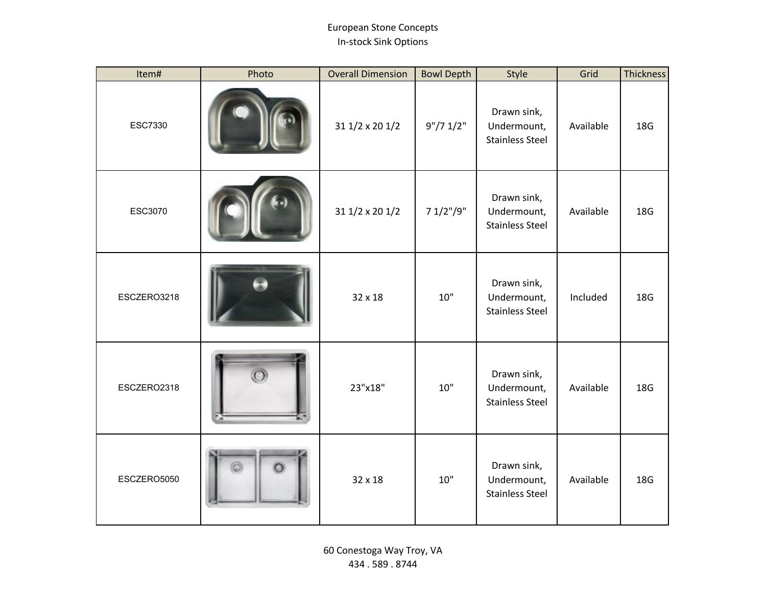## European Stone Concepts In-stock Sink Options

| Item#       | Photo | <b>Overall Dimension</b> | <b>Bowl Depth</b> | Style                                                | Grid      | Thickness  |
|-------------|-------|--------------------------|-------------------|------------------------------------------------------|-----------|------------|
| ESC7330     |       | 31 1/2 x 20 1/2          | 9" / 7 1 / 2"     | Drawn sink,<br>Undermount,<br><b>Stainless Steel</b> | Available | 18G        |
| ESC3070     |       | 31 1/2 x 20 1/2          | 7 1/2"/9"         | Drawn sink,<br>Undermount,<br><b>Stainless Steel</b> | Available | 18G        |
| ESCZERO3218 |       | 32 x 18                  | 10"               | Drawn sink,<br>Undermount,<br><b>Stainless Steel</b> | Included  | 18G        |
| ESCZERO2318 |       | 23"x18"                  | $10"$             | Drawn sink,<br>Undermount,<br><b>Stainless Steel</b> | Available | 18G        |
| ESCZERO5050 |       | 32 x 18                  | $10"$             | Drawn sink,<br>Undermount,<br><b>Stainless Steel</b> | Available | <b>18G</b> |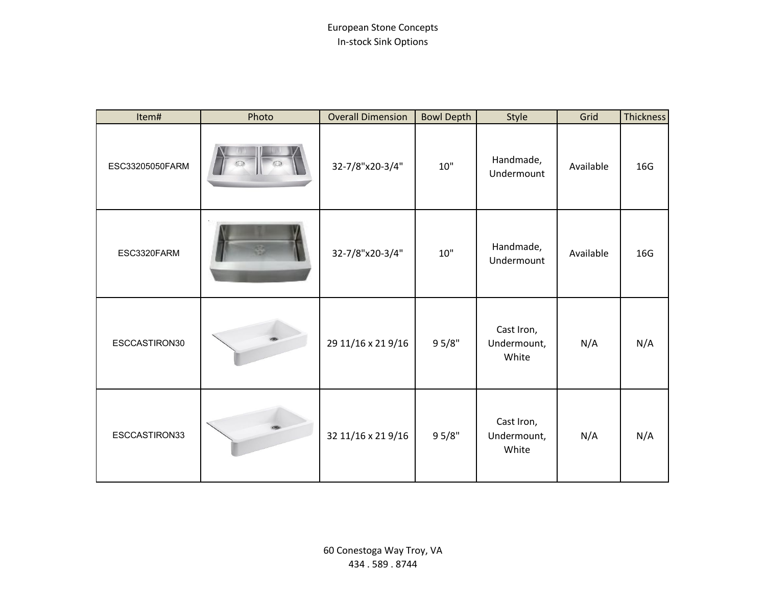| Item#           | Photo | <b>Overall Dimension</b> | <b>Bowl Depth</b> | Style                              | Grid      | <b>Thickness</b> |
|-----------------|-------|--------------------------|-------------------|------------------------------------|-----------|------------------|
| ESC33205050FARM |       | 32-7/8"x20-3/4"          | $10"$             | Handmade,<br>Undermount            | Available | 16G              |
| ESC3320FARM     |       | 32-7/8"x20-3/4"          | 10"               | Handmade,<br>Undermount            | Available | 16G              |
| ESCCASTIRON30   |       | 29 11/16 x 21 9/16       | 95/8"             | Cast Iron,<br>Undermount,<br>White | N/A       | N/A              |
| ESCCASTIRON33   |       | 32 11/16 x 21 9/16       | 95/8"             | Cast Iron,<br>Undermount,<br>White | N/A       | N/A              |